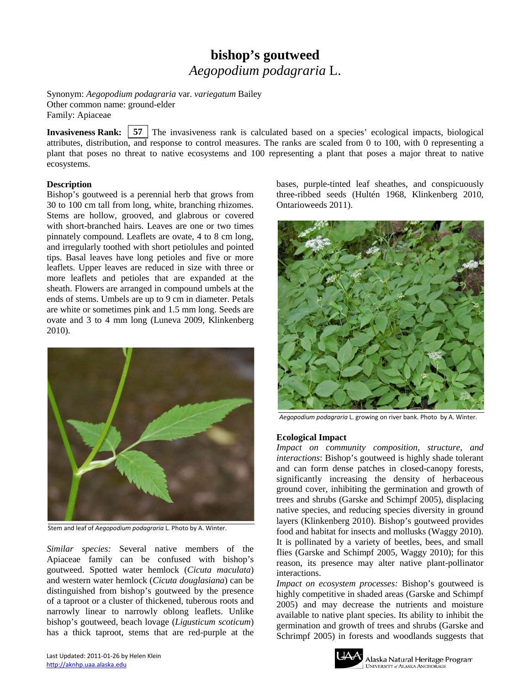# **bishop's goutweed** *Aegopodium podagraria* L.

Synonym: *Aegopodium podagraria* var. *variegatum* Bailey Other common name: ground-elder Family: Apiaceae

**Invasiveness Rank:** 57 The invasiveness rank is calculated based on a species' ecological impacts, biological attributes, distribution, and response to control measures. The ranks are scaled from 0 to 100, with 0 representing a plant that poses no threat to native ecosystems and 100 representing a plant that poses a major threat to native ecosystems.

## **Description**

Bishop's goutweed is a perennial herb that grows from 30 to 100 cm tall from long, white, branching rhizomes. Stems are hollow, grooved, and glabrous or covered with short-branched hairs. Leaves are one or two times pinnately compound. Leaflets are ovate, 4 to 8 cm long, and irregularly toothed with short petiolules and pointed tips. Basal leaves have long petioles and five or more leaflets. Upper leaves are reduced in size with three or more leaflets and petioles that are expanded at the sheath. Flowers are arranged in compound umbels at the ends of stems. Umbels are up to 9 cm in diameter. Petals are white or sometimes pink and 1.5 mm long. Seeds are ovate and 3 to 4 mm long (Luneva 2009, Klinkenberg 2010).



Stem and leaf of *Aegopodium podagraria* L. Photo by A. Winter.

*Similar species:* Several native members of the Apiaceae family can be confused with bishop's goutweed. Spotted water hemlock (*Cicuta maculata*) and western water hemlock (*Cicuta douglasiana*) can be distinguished from bishop's goutweed by the presence of a taproot or a cluster of thickened, tuberous roots and narrowly linear to narrowly oblong leaflets. Unlike bishop's goutweed, beach lovage (*Ligusticum scoticum*) has a thick taproot, stems that are red-purple at the bases, purple-tinted leaf sheathes, and conspicuously three-ribbed seeds (Hultén 1968, Klinkenberg 2010, Ontarioweeds 2011).



*Aegopodium podagraria* L. growing on river bank. Photo by A. Winter.

#### **Ecological Impact**

*Impact on community composition, structure, and interactions*: Bishop's goutweed is highly shade tolerant and can form dense patches in closed-canopy forests, significantly increasing the density of herbaceous ground cover, inhibiting the germination and growth of trees and shrubs (Garske and Schimpf 2005), displacing native species, and reducing species diversity in ground layers (Klinkenberg 2010). Bishop's goutweed provides food and habitat for insects and mollusks (Waggy 2010). It is pollinated by a variety of beetles, bees, and small flies (Garske and Schimpf 2005, Waggy 2010); for this reason, its presence may alter native plant-pollinator interactions.

*Impact on ecosystem processes:* Bishop's goutweed is highly competitive in shaded areas (Garske and Schimpf 2005) and may decrease the nutrients and moisture available to native plant species. Its ability to inhibit the germination and growth of trees and shrubs (Garske and Schrimpf 2005) in forests and woodlands suggests that

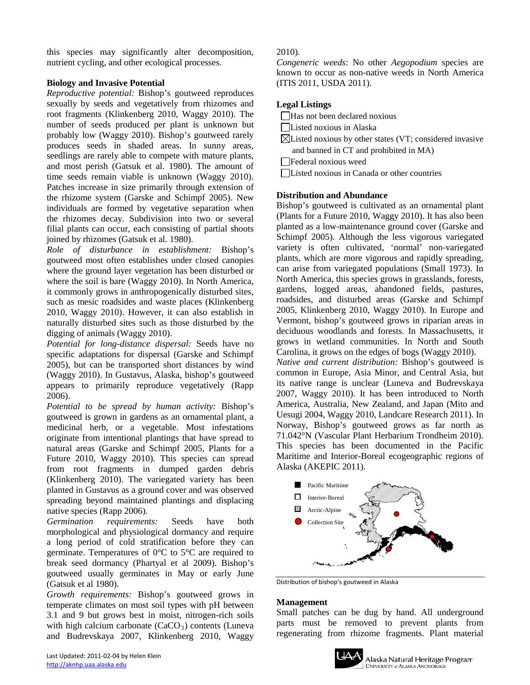this species may significantly alter decomposition, nutrient cycling, and other ecological processes.

# **Biology and Invasive Potential**

*Reproductive potential:* Bishop's goutweed reproduces sexually by seeds and vegetatively from rhizomes and root fragments (Klinkenberg 2010, Waggy 2010). The number of seeds produced per plant is unknown but probably low (Waggy 2010). Bishop's goutweed rarely produces seeds in shaded areas. In sunny areas, seedlings are rarely able to compete with mature plants, and most perish (Gatsuk et al. 1980). The amount of time seeds remain viable is unknown (Waggy 2010). Patches increase in size primarily through extension of the rhizome system (Garske and Schimpf 2005). New individuals are formed by vegetative separation when the rhizomes decay. Subdivision into two or several filial plants can occur, each consisting of partial shoots joined by rhizomes (Gatsuk et al. 1980).

*Role of disturbance in establishment:* Bishop's goutweed most often establishes under closed canopies where the ground layer vegetation has been disturbed or where the soil is bare (Waggy 2010). In North America, it commonly grows in anthropogenically disturbed sites, such as mesic roadsides and waste places (Klinkenberg 2010, Waggy 2010). However, it can also establish in naturally disturbed sites such as those disturbed by the digging of animals (Waggy 2010).

*Potential for long-distance dispersal:* Seeds have no specific adaptations for dispersal (Garske and Schimpf 2005), but can be transported short distances by wind (Waggy 2010). In Gustavus, Alaska, bishop's goutweed appears to primarily reproduce vegetatively (Rapp 2006).

*Potential to be spread by human activity:* Bishop's goutweed is grown in gardens as an ornamental plant, a medicinal herb, or a vegetable. Most infestations originate from intentional plantings that have spread to natural areas (Garske and Schimpf 2005, Plants for a Future 2010, Waggy 2010). This species can spread from root fragments in dumped garden debris (Klinkenberg 2010). The variegated variety has been planted in Gustavus as a ground cover and was observed spreading beyond maintained plantings and displacing native species (Rapp 2006).

*Germination requirements:* Seeds have both morphological and physiological dormancy and require a long period of cold stratification before they can germinate. Temperatures of 0°C to 5°C are required to break seed dormancy (Phartyal et al 2009). Bishop's goutweed usually germinates in May or early June (Gatsuk et al 1980).

*Growth requirements:* Bishop's goutweed grows in temperate climates on most soil types with pH between 3.1 and 9 but grows best in moist, nitrogen-rich soils with high calcium carbonate  $(CaCO<sub>3</sub>)$  contents (Luneva and Budrevskaya 2007, Klinkenberg 2010, Waggy

# 2010).

*Congeneric weeds*: No other *Aegopodium* species are known to occur as non-native weeds in North America (ITIS 2011, USDA 2011).

# **Legal Listings**

- Has not been declared noxious
- Listed noxious in Alaska
- $\boxtimes$ Listed noxious by other states (VT; considered invasive and banned in CT and prohibited in MA)
- Federal noxious weed
- Listed noxious in Canada or other countries

## **Distribution and Abundance**

Bishop's goutweed is cultivated as an ornamental plant (Plants for a Future 2010, Waggy 2010). It has also been planted as a low-maintenance ground cover (Garske and Schimpf 2005). Although the less vigorous variegated variety is often cultivated, 'normal' non-variegated plants, which are more vigorous and rapidly spreading, can arise from variegated populations (Small 1973). In North America, this species grows in grasslands, forests, gardens, logged areas, abandoned fields, pastures, roadsides, and disturbed areas (Garske and Schimpf 2005, Klinkenberg 2010, Waggy 2010). In Europe and Vermont, bishop's goutweed grows in riparian areas in deciduous woodlands and forests. In Massachusetts, it grows in wetland communities. In North and South Carolina, it grows on the edges of bogs (Waggy 2010).

*Native and current distribution:* Bishop's goutweed is common in Europe, Asia Minor, and Central Asia, but its native range is unclear (Luneva and Budrevskaya 2007, Waggy 2010). It has been introduced to North America, Australia, New Zealand, and Japan (Mito and Uesugi 2004, Waggy 2010, Landcare Research 2011). In Norway, Bishop's goutweed grows as far north as 71.042°N (Vascular Plant Herbarium Trondheim 2010). This species has been documented in the Pacific Maritime and Interior-Boreal ecogeographic regions of Alaska (AKEPIC 2011).



Distribution of bishop's goutweed in Alaska

#### **Management**

Small patches can be dug by hand. All underground parts must be removed to prevent plants from regenerating from rhizome fragments. Plant material